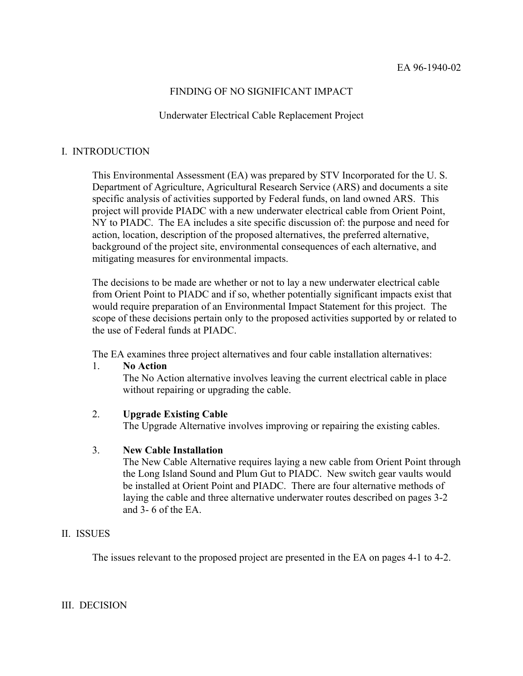# FINDING OF NO SIGNIFICANT IMPACT

### Underwater Electrical Cable Replacement Project

### I. INTRODUCTION

This Environmental Assessment (EA) was prepared by STV Incorporated for the U. S. Department of Agriculture, Agricultural Research Service (ARS) and documents a site specific analysis of activities supported by Federal funds, on land owned ARS. This project will provide PIADC with a new underwater electrical cable from Orient Point, NY to PIADC. The EA includes a site specific discussion of: the purpose and need for action, location, description of the proposed alternatives, the preferred alternative, background of the project site, environmental consequences of each alternative, and mitigating measures for environmental impacts.

The decisions to be made are whether or not to lay a new underwater electrical cable from Orient Point to PIADC and if so, whether potentially significant impacts exist that would require preparation of an Environmental Impact Statement for this project. The scope of these decisions pertain only to the proposed activities supported by or related to the use of Federal funds at PIADC.

The EA examines three project alternatives and four cable installation alternatives:

### 1. **No Action**

The No Action alternative involves leaving the current electrical cable in place without repairing or upgrading the cable.

### 2. **Upgrade Existing Cable**

The Upgrade Alternative involves improving or repairing the existing cables.

### 3. **New Cable Installation**

The New Cable Alternative requires laying a new cable from Orient Point through the Long Island Sound and Plum Gut to PIADC. New switch gear vaults would be installed at Orient Point and PIADC. There are four alternative methods of laying the cable and three alternative underwater routes described on pages 3-2 and  $3-6$  of the EA.

# II. ISSUES

The issues relevant to the proposed project are presented in the EA on pages 4-1 to 4-2.

# III. DECISION